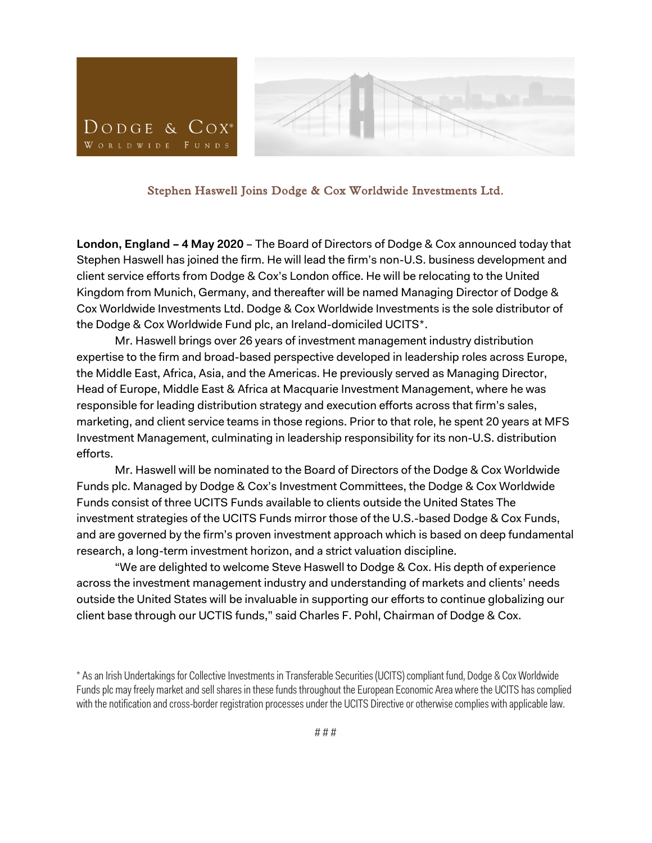



Stephen Haswell Joins Dodge & Cox Worldwide Investments Ltd.

**London, England – 4 May 2020** – The Board of Directors of Dodge & Cox announced today that Stephen Haswell has joined the firm. He will lead the firm's non-U.S. business development and client service efforts from Dodge & Cox's London office. He will be relocating to the United Kingdom from Munich, Germany, and thereafter will be named Managing Director of Dodge & Cox Worldwide Investments Ltd. Dodge & Cox Worldwide Investments is the sole distributor of the Dodge & Cox Worldwide Fund plc, an Ireland-domiciled UCITS\*.

Mr. Haswell brings over 26 years of investment management industry distribution expertise to the firm and broad-based perspective developed in leadership roles across Europe, the Middle East, Africa, Asia, and the Americas. He previously served as Managing Director, Head of Europe, Middle East & Africa at Macquarie Investment Management, where he was responsible for leading distribution strategy and execution efforts across that firm's sales, marketing, and client service teams in those regions. Prior to that role, he spent 20 years at MFS Investment Management, culminating in leadership responsibility for its non-U.S. distribution efforts.

Mr. Haswell will be nominated to the Board of Directors of the Dodge & Cox Worldwide Funds plc. Managed by Dodge & Cox's Investment Committees, the Dodge & Cox Worldwide Funds consist of three UCITS Funds available to clients outside the United States The investment strategies of the UCITS Funds mirror those of the U.S.-based Dodge & Cox Funds, and are governed by the firm's proven investment approach which is based on deep fundamental research, a long-term investment horizon, and a strict valuation discipline.

"We are delighted to welcome Steve Haswell to Dodge & Cox. His depth of experience across the investment management industry and understanding of markets and clients' needs outside the United States will be invaluable in supporting our efforts to continue globalizing our client base through our UCTIS funds," said Charles F. Pohl, Chairman of Dodge & Cox.

<sup>\*</sup> As an Irish Undertakings for Collective Investments in Transferable Securities (UCITS) compliant fund, Dodge & Cox Worldwide Funds plc may freely market and sell shares in these funds throughout the European Economic Area where the UCITS has complied with the notification and cross-border registration processes under the UCITS Directive or otherwise complies with applicable law.